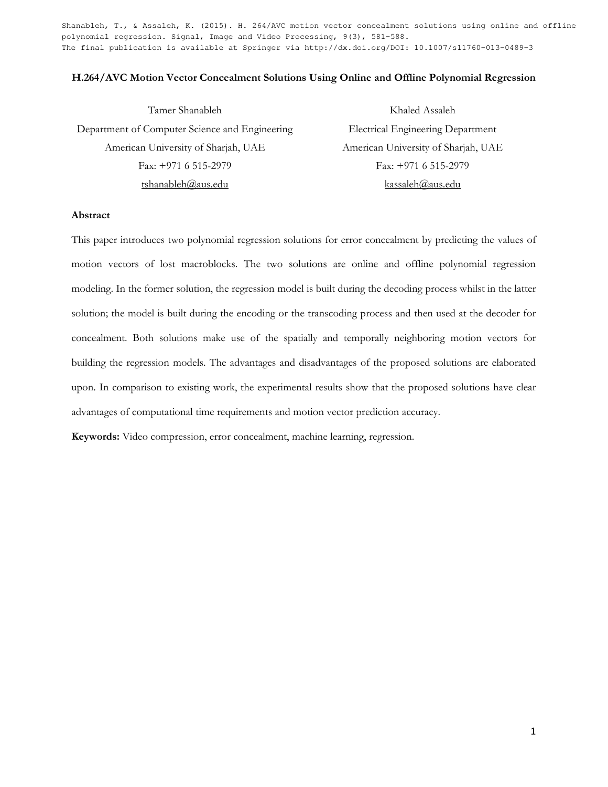Shanableh, T., & Assaleh, K. (2015). H. 264/AVC motion vector concealment solutions using online and offline polynomial regression. Signal, Image and Video Processing, 9(3), 581-588. The final publication is available at Springer via http://dx.doi.org/DOI: 10.1007/s11760-013-0489-3

### **H.264/AVC Motion Vector Concealment Solutions Using Online and Offline Polynomial Regression**

| Tamer Shanableh                                | Khaled Assaleh                           |
|------------------------------------------------|------------------------------------------|
| Department of Computer Science and Engineering | <b>Electrical Engineering Department</b> |
| American University of Sharjah, UAE            | American University of Sharjah, UAE      |
| Fax: $+971$ 6 515-2979                         | Fax: $+971$ 6 515-2979                   |
| tshanableh@aus.edu                             | kassaleh@aus.edu                         |

## **Abstract**

This paper introduces two polynomial regression solutions for error concealment by predicting the values of motion vectors of lost macroblocks. The two solutions are online and offline polynomial regression modeling. In the former solution, the regression model is built during the decoding process whilst in the latter solution; the model is built during the encoding or the transcoding process and then used at the decoder for concealment. Both solutions make use of the spatially and temporally neighboring motion vectors for building the regression models. The advantages and disadvantages of the proposed solutions are elaborated upon. In comparison to existing work, the experimental results show that the proposed solutions have clear advantages of computational time requirements and motion vector prediction accuracy.

**Keywords:** Video compression, error concealment, machine learning, regression.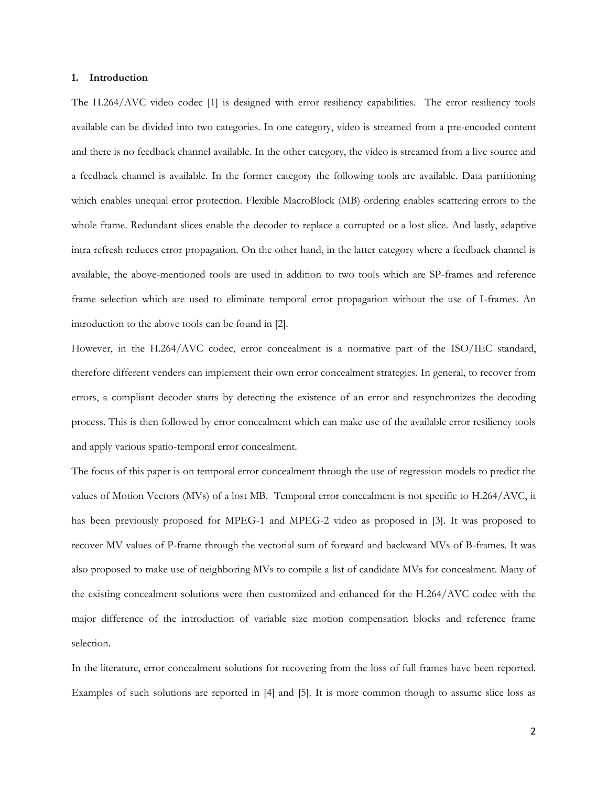#### **1. Introduction**

The H.264/AVC video codec [1] is designed with error resiliency capabilities. The error resiliency tools available can be divided into two categories. In one category, video is streamed from a pre-encoded content and there is no feedback channel available. In the other category, the video is streamed from a live source and a feedback channel is available. In the former category the following tools are available. Data partitioning which enables unequal error protection. Flexible MacroBlock (MB) ordering enables scattering errors to the whole frame. Redundant slices enable the decoder to replace a corrupted or a lost slice. And lastly, adaptive intra refresh reduces error propagation. On the other hand, in the latter category where a feedback channel is available, the above-mentioned tools are used in addition to two tools which are SP-frames and reference frame selection which are used to eliminate temporal error propagation without the use of I-frames. An introduction to the above tools can be found in [2].

However, in the H.264/AVC codec, error concealment is a normative part of the ISO/IEC standard, therefore different venders can implement their own error concealment strategies. In general, to recover from errors, a compliant decoder starts by detecting the existence of an error and resynchronizes the decoding process. This is then followed by error concealment which can make use of the available error resiliency tools and apply various spatio-temporal error concealment.

The focus of this paper is on temporal error concealment through the use of regression models to predict the values of Motion Vectors (MVs) of a lost MB. Temporal error concealment is not specific to H.264/AVC, it has been previously proposed for MPEG-1 and MPEG-2 video as proposed in [3]. It was proposed to recover MV values of P-frame through the vectorial sum of forward and backward MVs of B-frames. It was also proposed to make use of neighboring MVs to compile a list of candidate MVs for concealment. Many of the existing concealment solutions were then customized and enhanced for the H.264/AVC codec with the major difference of the introduction of variable size motion compensation blocks and reference frame selection.

In the literature, error concealment solutions for recovering from the loss of full frames have been reported. Examples of such solutions are reported in [4] and [5]. It is more common though to assume slice loss as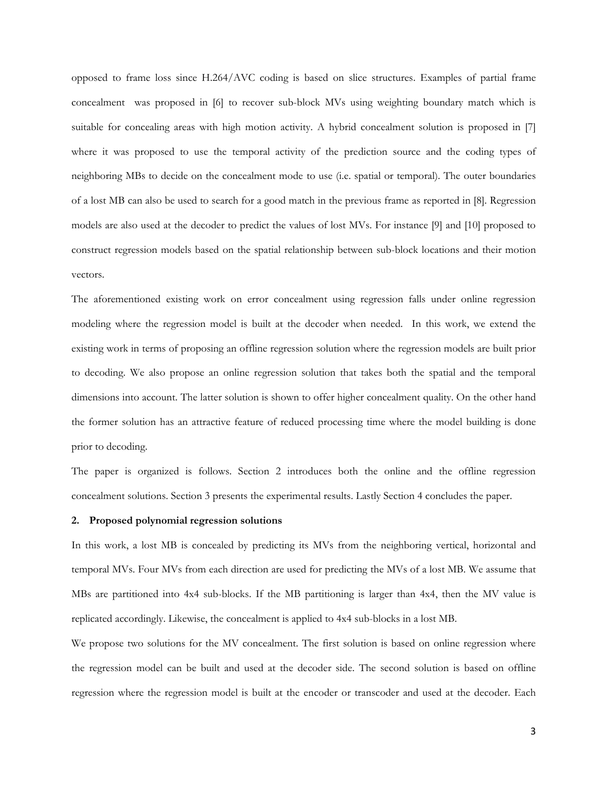opposed to frame loss since H.264/AVC coding is based on slice structures. Examples of partial frame concealment was proposed in [6] to recover sub-block MVs using weighting boundary match which is suitable for concealing areas with high motion activity. A hybrid concealment solution is proposed in [7] where it was proposed to use the temporal activity of the prediction source and the coding types of neighboring MBs to decide on the concealment mode to use (i.e. spatial or temporal). The outer boundaries of a lost MB can also be used to search for a good match in the previous frame as reported in [8]. Regression models are also used at the decoder to predict the values of lost MVs. For instance [9] and [10] proposed to construct regression models based on the spatial relationship between sub-block locations and their motion vectors.

The aforementioned existing work on error concealment using regression falls under online regression modeling where the regression model is built at the decoder when needed. In this work, we extend the existing work in terms of proposing an offline regression solution where the regression models are built prior to decoding. We also propose an online regression solution that takes both the spatial and the temporal dimensions into account. The latter solution is shown to offer higher concealment quality. On the other hand the former solution has an attractive feature of reduced processing time where the model building is done prior to decoding.

The paper is organized is follows. Section 2 introduces both the online and the offline regression concealment solutions. Section 3 presents the experimental results. Lastly Section 4 concludes the paper.

#### **2. Proposed polynomial regression solutions**

In this work, a lost MB is concealed by predicting its MVs from the neighboring vertical, horizontal and temporal MVs. Four MVs from each direction are used for predicting the MVs of a lost MB. We assume that MBs are partitioned into 4x4 sub-blocks. If the MB partitioning is larger than 4x4, then the MV value is replicated accordingly. Likewise, the concealment is applied to 4x4 sub-blocks in a lost MB.

We propose two solutions for the MV concealment. The first solution is based on online regression where the regression model can be built and used at the decoder side. The second solution is based on offline regression where the regression model is built at the encoder or transcoder and used at the decoder. Each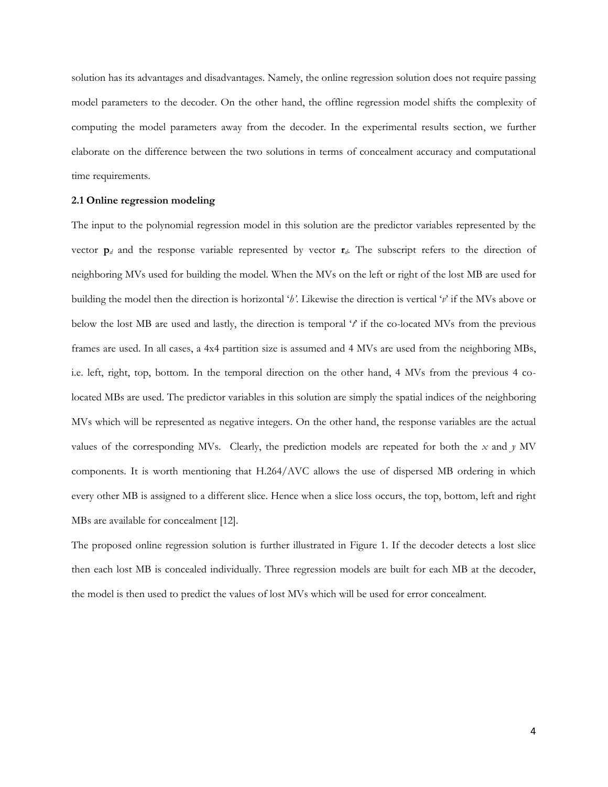solution has its advantages and disadvantages. Namely, the online regression solution does not require passing model parameters to the decoder. On the other hand, the offline regression model shifts the complexity of computing the model parameters away from the decoder. In the experimental results section, we further elaborate on the difference between the two solutions in terms of concealment accuracy and computational time requirements.

#### **2.1 Online regression modeling**

The input to the polynomial regression model in this solution are the predictor variables represented by the vector **p***<sup>d</sup>* and the response variable represented by vector **r***d*. The subscript refers to the direction of neighboring MVs used for building the model. When the MVs on the left or right of the lost MB are used for building the model then the direction is horizontal '*h'*. Likewise the direction is vertical '*v*' if the MVs above or below the lost MB are used and lastly, the direction is temporal '*t*' if the co-located MVs from the previous frames are used. In all cases, a 4x4 partition size is assumed and 4 MVs are used from the neighboring MBs, i.e. left, right, top, bottom. In the temporal direction on the other hand, 4 MVs from the previous 4 colocated MBs are used. The predictor variables in this solution are simply the spatial indices of the neighboring MVs which will be represented as negative integers. On the other hand, the response variables are the actual values of the corresponding MVs. Clearly, the prediction models are repeated for both the *x* and *y* MV components. It is worth mentioning that H.264/AVC allows the use of dispersed MB ordering in which every other MB is assigned to a different slice. Hence when a slice loss occurs, the top, bottom, left and right MBs are available for concealment [12].

The proposed online regression solution is further illustrated in Figure 1. If the decoder detects a lost slice then each lost MB is concealed individually. Three regression models are built for each MB at the decoder, the model is then used to predict the values of lost MVs which will be used for error concealment.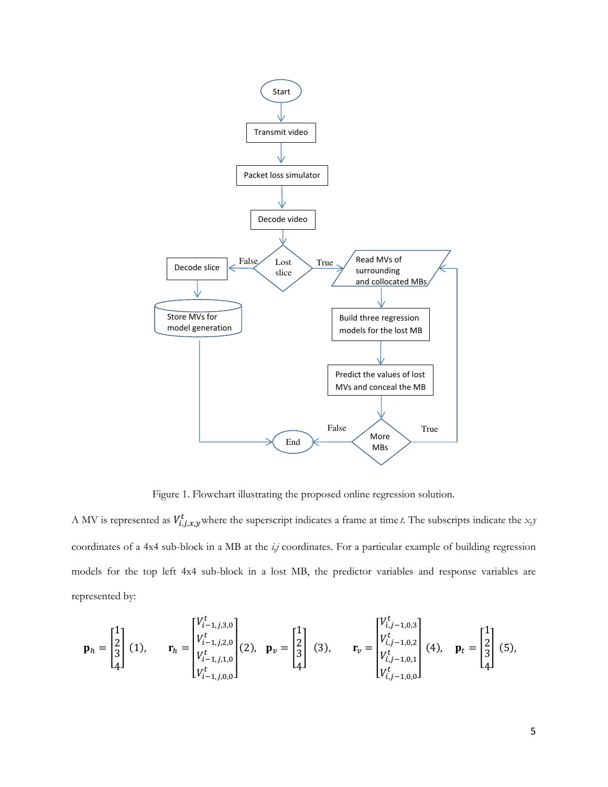

Figure 1. Flowchart illustrating the proposed online regression solution.

A MV is represented as  $V_{i,j,x,y}^t$  where the superscript indicates a frame at time *t*. The subscripts indicate the *x*,*y* coordinates of a 4x4 sub-block in a MB at the *i,j* coordinates. For a particular example of building regression models for the top left 4x4 sub-block in a lost MB, the predictor variables and response variables are represented by:

$$
\mathbf{p}_{h} = \begin{bmatrix} 1 \\ 2 \\ 3 \\ 4 \end{bmatrix} (1), \quad \mathbf{r}_{h} = \begin{bmatrix} V_{i-1,j,3,0}^{t} \\ V_{i-1,j,2,0}^{t} \\ V_{i-1,j,1,0}^{t} \\ V_{i-1,j,0,0}^{t} \end{bmatrix} (2), \quad \mathbf{p}_{v} = \begin{bmatrix} 1 \\ 2 \\ 3 \\ 4 \end{bmatrix} (3), \quad \mathbf{r}_{v} = \begin{bmatrix} V_{i,j-1,0,3}^{t} \\ V_{i,j-1,0,2}^{t} \\ V_{i,j-1,0,1}^{t} \\ V_{i,j-1,0,0}^{t} \end{bmatrix} (4), \quad \mathbf{p}_{t} = \begin{bmatrix} 1 \\ 2 \\ 3 \\ 4 \end{bmatrix} (5),
$$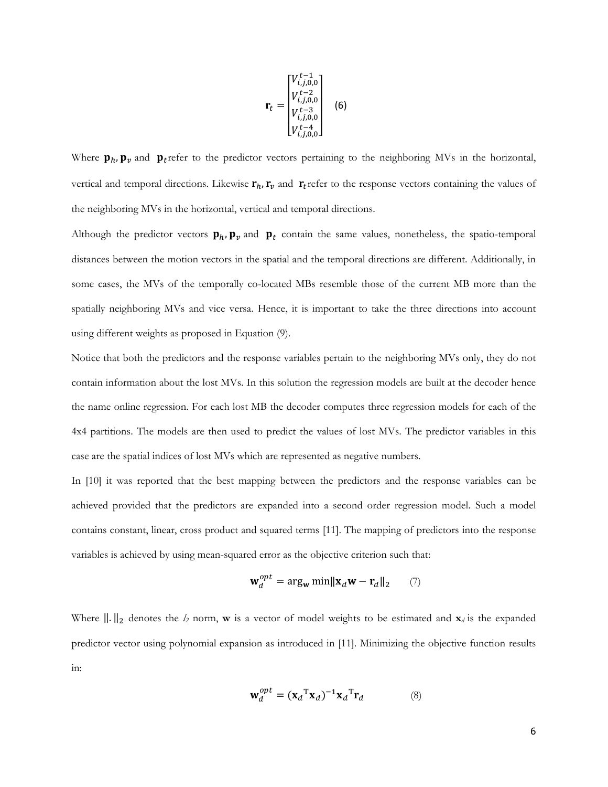$$
\mathbf{r}_{t} = \begin{bmatrix} V_{i,j,0,0}^{t-1} \\ V_{i,j,0,0}^{t-2} \\ V_{i,j,0,0}^{t-3} \\ V_{i,j,0,0}^{t-4} \\ V_{i,j,0,0}^{t-4} \end{bmatrix}
$$
 (6)

Where  $\mathbf{p}_h$ ,  $\mathbf{p}_v$  and  $\mathbf{p}_t$  refer to the predictor vectors pertaining to the neighboring MVs in the horizontal, vertical and temporal directions. Likewise  $\mathbf{r}_h$ ,  $\mathbf{r}_v$  and  $\mathbf{r}_t$  refer to the response vectors containing the values of the neighboring MVs in the horizontal, vertical and temporal directions.

Although the predictor vectors  $\mathbf{p}_h$ ,  $\mathbf{p}_v$  and  $\mathbf{p}_t$  contain the same values, nonetheless, the spatio-temporal distances between the motion vectors in the spatial and the temporal directions are different. Additionally, in some cases, the MVs of the temporally co-located MBs resemble those of the current MB more than the spatially neighboring MVs and vice versa. Hence, it is important to take the three directions into account using different weights as proposed in Equation (9).

Notice that both the predictors and the response variables pertain to the neighboring MVs only, they do not contain information about the lost MVs. In this solution the regression models are built at the decoder hence the name online regression. For each lost MB the decoder computes three regression models for each of the 4x4 partitions. The models are then used to predict the values of lost MVs. The predictor variables in this case are the spatial indices of lost MVs which are represented as negative numbers.

In [10] it was reported that the best mapping between the predictors and the response variables can be achieved provided that the predictors are expanded into a second order regression model. Such a model contains constant, linear, cross product and squared terms [11]. The mapping of predictors into the response variables is achieved by using mean-squared error as the objective criterion such that:

$$
\mathbf{w}_d^{opt} = \arg_{\mathbf{w}} \min \|\mathbf{x}_d \mathbf{w} - \mathbf{r}_d\|_2 \qquad (7)
$$

Where  $\|\cdot\|_2$  denotes the  $l_2$  norm, **w** is a vector of model weights to be estimated and  $\mathbf{x}_d$  is the expanded predictor vector using polynomial expansion as introduced in [11]. Minimizing the objective function results in:

$$
\mathbf{w}_d^{opt} = (\mathbf{x}_d \mathbf{x}_d)^{-1} \mathbf{x}_d \mathbf{x}_d
$$
 (8)

6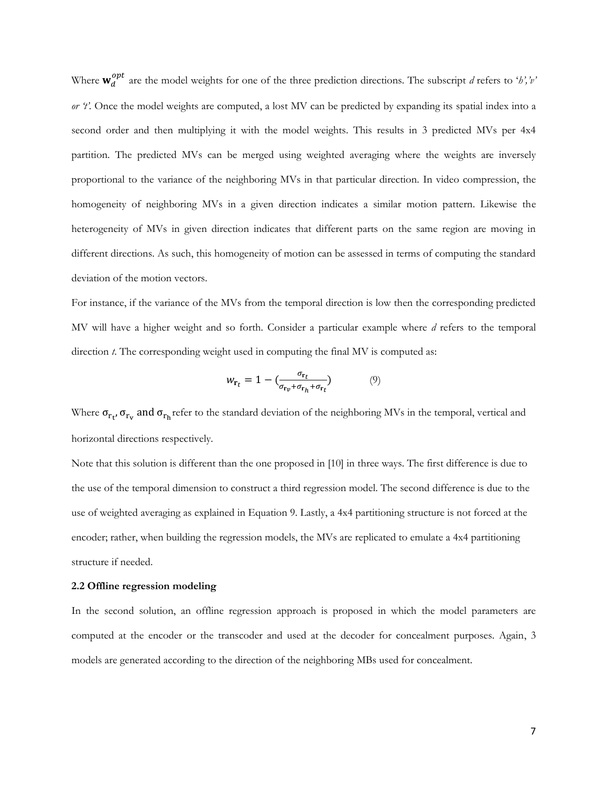Where  $w_d^{opt}$  are the model weights for one of the three prediction directions. The subscript *d* refers to '*h'*,'*v' or 't'.* Once the model weights are computed, a lost MV can be predicted by expanding its spatial index into a second order and then multiplying it with the model weights. This results in 3 predicted MVs per 4x4 partition. The predicted MVs can be merged using weighted averaging where the weights are inversely proportional to the variance of the neighboring MVs in that particular direction. In video compression, the homogeneity of neighboring MVs in a given direction indicates a similar motion pattern. Likewise the heterogeneity of MVs in given direction indicates that different parts on the same region are moving in different directions. As such, this homogeneity of motion can be assessed in terms of computing the standard deviation of the motion vectors.

For instance, if the variance of the MVs from the temporal direction is low then the corresponding predicted MV will have a higher weight and so forth. Consider a particular example where *d* refers to the temporal direction *t*. The corresponding weight used in computing the final MV is computed as:

$$
w_{\mathbf{r}_t} = 1 - \left(\frac{\sigma_{\mathbf{r}_t}}{\sigma_{\mathbf{r}_v} + \sigma_{\mathbf{r}_h} + \sigma_{\mathbf{r}_t}}\right) \tag{9}
$$

Where  $\sigma_{r_t}$ ,  $\sigma_{r_v}$  and  $\sigma_{r_h}$ refer to the standard deviation of the neighboring MVs in the temporal, vertical and horizontal directions respectively.

Note that this solution is different than the one proposed in [10] in three ways. The first difference is due to the use of the temporal dimension to construct a third regression model. The second difference is due to the use of weighted averaging as explained in Equation 9. Lastly, a 4x4 partitioning structure is not forced at the encoder; rather, when building the regression models, the MVs are replicated to emulate a 4x4 partitioning structure if needed.

### **2.2 Offline regression modeling**

In the second solution, an offline regression approach is proposed in which the model parameters are computed at the encoder or the transcoder and used at the decoder for concealment purposes. Again, 3 models are generated according to the direction of the neighboring MBs used for concealment.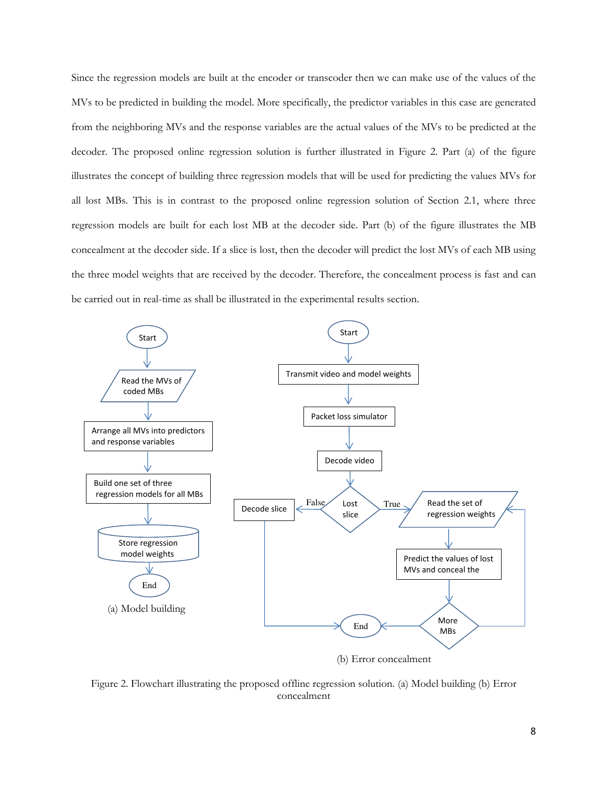Since the regression models are built at the encoder or transcoder then we can make use of the values of the MVs to be predicted in building the model. More specifically, the predictor variables in this case are generated from the neighboring MVs and the response variables are the actual values of the MVs to be predicted at the decoder. The proposed online regression solution is further illustrated in Figure 2. Part (a) of the figure illustrates the concept of building three regression models that will be used for predicting the values MVs for all lost MBs. This is in contrast to the proposed online regression solution of Section 2.1, where three regression models are built for each lost MB at the decoder side. Part (b) of the figure illustrates the MB concealment at the decoder side. If a slice is lost, then the decoder will predict the lost MVs of each MB using the three model weights that are received by the decoder. Therefore, the concealment process is fast and can be carried out in real-time as shall be illustrated in the experimental results section.



Figure 2. Flowchart illustrating the proposed offline regression solution. (a) Model building (b) Error concealment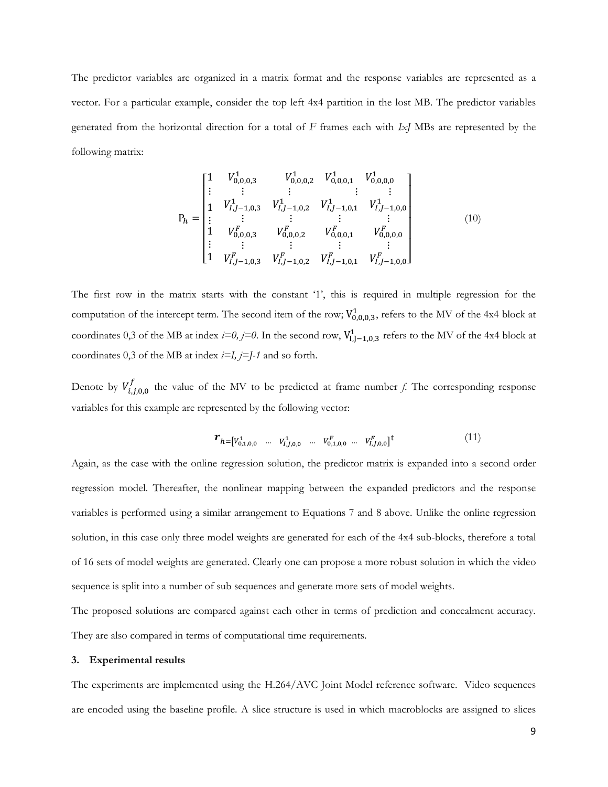The predictor variables are organized in a matrix format and the response variables are represented as a vector. For a particular example, consider the top left 4x4 partition in the lost MB. The predictor variables generated from the horizontal direction for a total of *F* frames each with *IxJ* MBs are represented by the following matrix:

$$
P_h = \begin{bmatrix} 1 & V_{0,0,0,3}^1 & V_{0,0,0,2}^1 & V_{0,0,0,1}^1 & V_{0,0,0,0}^1 \\ \vdots & \vdots & \vdots & & \vdots & \vdots \\ 1 & V_{l,J-1,0,3}^1 & V_{l,J-1,0,2}^1 & V_{l,J-1,0,1}^1 & V_{l,J-1,0,0}^1 \\ \vdots & \vdots & \vdots & & \vdots & \vdots \\ 1 & V_{0,0,0,3}^F & V_{0,0,0,2}^F & V_{0,0,0,1}^F & V_{0,0,0,0}^F \\ \vdots & \vdots & \vdots & & \vdots & \vdots \\ 1 & V_{l,J-1,0,3}^F & V_{l,J-1,0,2}^F & V_{l,J-1,0,1}^F & V_{l,J-1,0,0}^F \end{bmatrix}
$$
\n
$$
(10)
$$

The first row in the matrix starts with the constant '1', this is required in multiple regression for the computation of the intercept term. The second item of the row;  $V_{0,0,0,3}^1$ , refers to the MV of the 4x4 block at coordinates 0,3 of the MB at index *i=0, j*=0. In the second row,  $V_{1,J-1,0,3}^{1}$  refers to the MV of the 4x4 block at coordinates 0,3 of the MB at index *i=I, j=J-1* and so forth.

Denote by  $V_{i,j,0,0}^{f}$  the value of the MV to be predicted at frame number *f*. The corresponding response variables for this example are represented by the following vector:

$$
\boldsymbol{r}_{h} = [v_{0,1,0,0}^1 \quad \dots \quad v_{I,J,0,0}^1 \quad \dots \quad v_{0,1,0,0}^F \quad \dots \quad v_{I,J,0,0}^F]^{\mathrm{t}} \tag{11}
$$

Again, as the case with the online regression solution, the predictor matrix is expanded into a second order regression model. Thereafter, the nonlinear mapping between the expanded predictors and the response variables is performed using a similar arrangement to Equations 7 and 8 above. Unlike the online regression solution, in this case only three model weights are generated for each of the 4x4 sub-blocks, therefore a total of 16 sets of model weights are generated. Clearly one can propose a more robust solution in which the video sequence is split into a number of sub sequences and generate more sets of model weights.

The proposed solutions are compared against each other in terms of prediction and concealment accuracy. They are also compared in terms of computational time requirements.

#### **3. Experimental results**

The experiments are implemented using the H.264/AVC Joint Model reference software. Video sequences are encoded using the baseline profile. A slice structure is used in which macroblocks are assigned to slices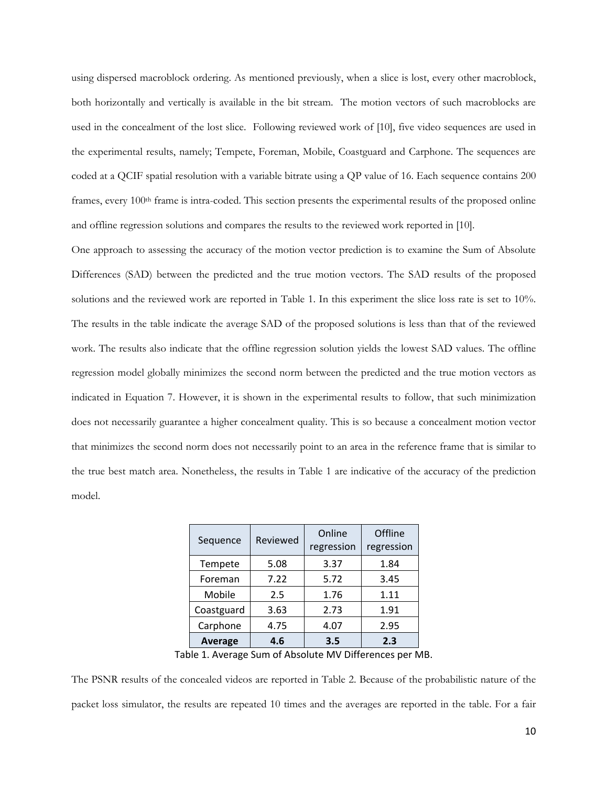using dispersed macroblock ordering. As mentioned previously, when a slice is lost, every other macroblock, both horizontally and vertically is available in the bit stream. The motion vectors of such macroblocks are used in the concealment of the lost slice. Following reviewed work of [10], five video sequences are used in the experimental results, namely; Tempete, Foreman, Mobile, Coastguard and Carphone. The sequences are coded at a QCIF spatial resolution with a variable bitrate using a QP value of 16. Each sequence contains 200 frames, every 100th frame is intra-coded. This section presents the experimental results of the proposed online and offline regression solutions and compares the results to the reviewed work reported in [10].

One approach to assessing the accuracy of the motion vector prediction is to examine the Sum of Absolute Differences (SAD) between the predicted and the true motion vectors. The SAD results of the proposed solutions and the reviewed work are reported in Table 1. In this experiment the slice loss rate is set to 10%. The results in the table indicate the average SAD of the proposed solutions is less than that of the reviewed work. The results also indicate that the offline regression solution yields the lowest SAD values. The offline regression model globally minimizes the second norm between the predicted and the true motion vectors as indicated in Equation 7. However, it is shown in the experimental results to follow, that such minimization does not necessarily guarantee a higher concealment quality. This is so because a concealment motion vector that minimizes the second norm does not necessarily point to an area in the reference frame that is similar to the true best match area. Nonetheless, the results in Table 1 are indicative of the accuracy of the prediction model.

| Sequence       | Reviewed | Online<br>regression | Offline<br>regression |
|----------------|----------|----------------------|-----------------------|
| Tempete        | 5.08     | 3.37                 | 1.84                  |
| Foreman        | 7.22     | 5.72                 | 3.45                  |
| Mobile         | 2.5      | 1.76                 | 1.11                  |
| Coastguard     | 3.63     | 2.73                 | 1.91                  |
| Carphone       | 4.75     | 4.07                 | 2.95                  |
| <b>Average</b> | 4.6      | 3.5                  | 2.3                   |

Table 1. Average Sum of Absolute MV Differences per MB.

The PSNR results of the concealed videos are reported in Table 2. Because of the probabilistic nature of the packet loss simulator, the results are repeated 10 times and the averages are reported in the table. For a fair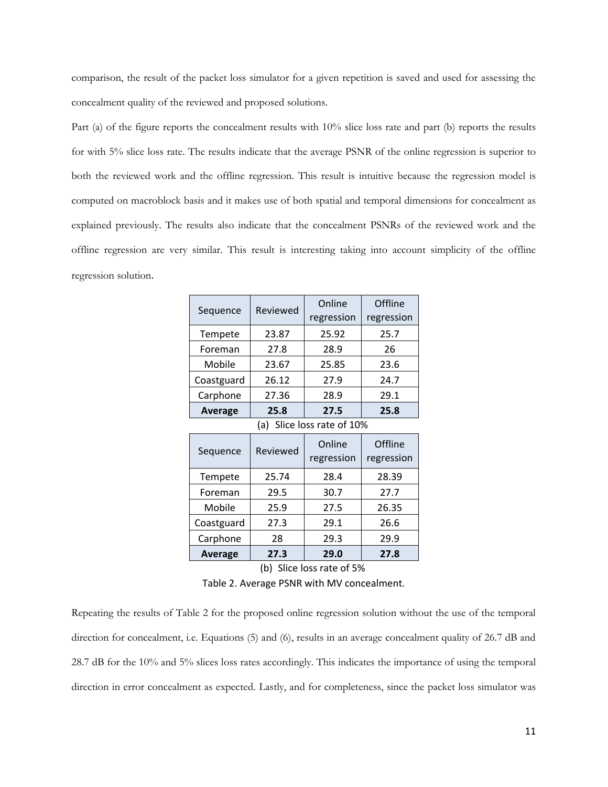comparison, the result of the packet loss simulator for a given repetition is saved and used for assessing the concealment quality of the reviewed and proposed solutions.

Part (a) of the figure reports the concealment results with 10% slice loss rate and part (b) reports the results for with 5% slice loss rate. The results indicate that the average PSNR of the online regression is superior to both the reviewed work and the offline regression. This result is intuitive because the regression model is computed on macroblock basis and it makes use of both spatial and temporal dimensions for concealment as explained previously. The results also indicate that the concealment PSNRs of the reviewed work and the offline regression are very similar. This result is interesting taking into account simplicity of the offline regression solution.

| Reviewed                   | Online<br>regression | Offline<br>regression |  |  |  |
|----------------------------|----------------------|-----------------------|--|--|--|
| 23.87                      | 25.92                | 25.7                  |  |  |  |
| 27.8                       | 28.9                 | 26                    |  |  |  |
| 23.67                      | 25.85                | 23.6                  |  |  |  |
| 26.12                      | 27.9                 | 24.7                  |  |  |  |
| 27.36                      | 28.9                 | 29.1                  |  |  |  |
| 25.8                       | 27.5                 | 25.8                  |  |  |  |
| (a) Slice loss rate of 10% |                      |                       |  |  |  |
| Reviewed                   | Online<br>regression | Offline<br>regression |  |  |  |
| 25.74                      | 28.4                 | 28.39                 |  |  |  |
| 29.5                       | 30.7                 | 27.7                  |  |  |  |
| 25.9                       | 27.5                 | 26.35                 |  |  |  |
| 27.3                       | 29.1                 | 26.6                  |  |  |  |
| 28                         | 29.3                 | 29.9                  |  |  |  |
| 27.3                       | 29.0                 | 27.8                  |  |  |  |
|                            |                      |                       |  |  |  |

(b) Slice loss rate of 5%

Table 2. Average PSNR with MV concealment.

Repeating the results of Table 2 for the proposed online regression solution without the use of the temporal direction for concealment, i.e. Equations (5) and (6), results in an average concealment quality of 26.7 dB and 28.7 dB for the 10% and 5% slices loss rates accordingly. This indicates the importance of using the temporal direction in error concealment as expected. Lastly, and for completeness, since the packet loss simulator was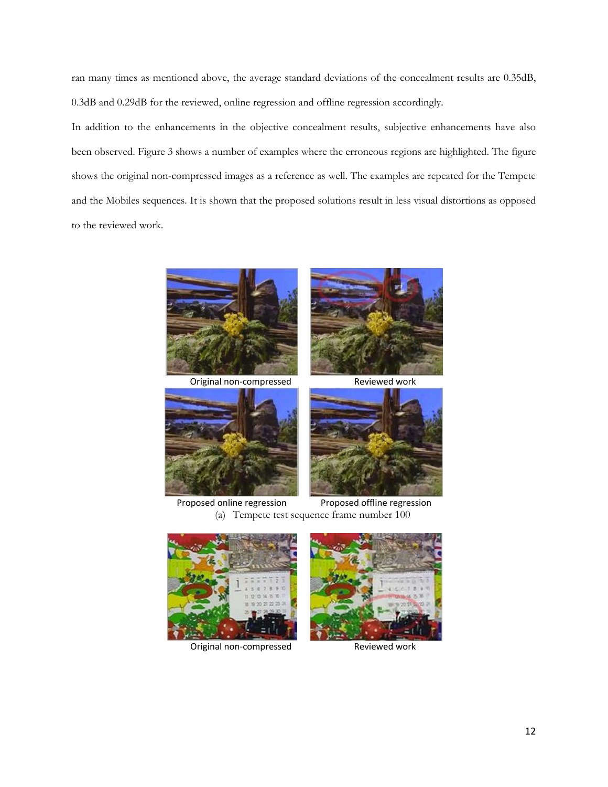ran many times as mentioned above, the average standard deviations of the concealment results are 0.35dB, 0.3dB and 0.29dB for the reviewed, online regression and offline regression accordingly.

In addition to the enhancements in the objective concealment results, subjective enhancements have also been observed. Figure 3 shows a number of examples where the erroneous regions are highlighted. The figure shows the original non-compressed images as a reference as well. The examples are repeated for the Tempete and the Mobiles sequences. It is shown that the proposed solutions result in less visual distortions as opposed to the reviewed work.



Original non-compressed Reviewed work







Proposed online regression Proposed offline regression (a) Tempete test sequence frame number 100



Original non-compressed Reviewed work

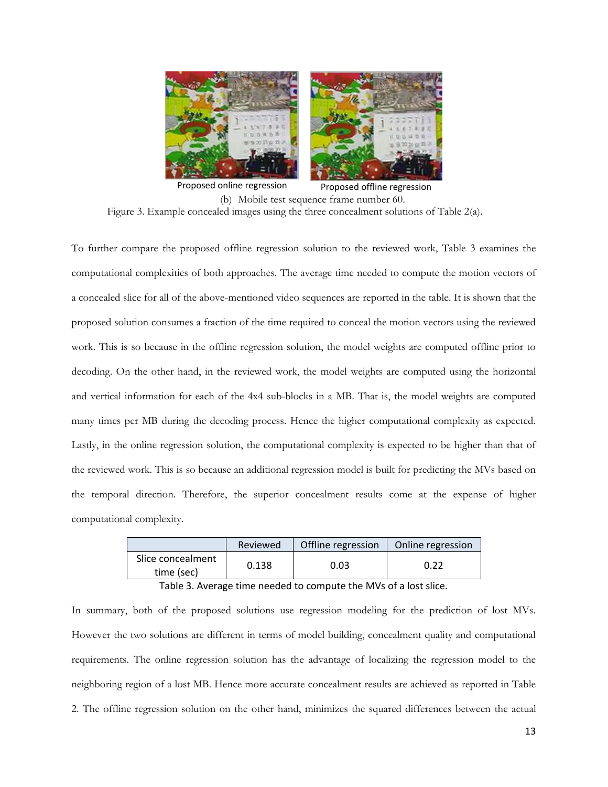

Proposed online regression Proposed offline regression (b) Mobile test sequence frame number 60. Figure 3. Example concealed images using the three concealment solutions of Table 2(a).

To further compare the proposed offline regression solution to the reviewed work, Table 3 examines the computational complexities of both approaches. The average time needed to compute the motion vectors of a concealed slice for all of the above-mentioned video sequences are reported in the table. It is shown that the proposed solution consumes a fraction of the time required to conceal the motion vectors using the reviewed work. This is so because in the offline regression solution, the model weights are computed offline prior to decoding. On the other hand, in the reviewed work, the model weights are computed using the horizontal and vertical information for each of the 4x4 sub-blocks in a MB. That is, the model weights are computed many times per MB during the decoding process. Hence the higher computational complexity as expected. Lastly, in the online regression solution, the computational complexity is expected to be higher than that of the reviewed work. This is so because an additional regression model is built for predicting the MVs based on the temporal direction. Therefore, the superior concealment results come at the expense of higher computational complexity.

|                                 | Reviewed | Offline regression | Online regression |
|---------------------------------|----------|--------------------|-------------------|
| Slice concealment<br>time (sec) | 0.138    | 0.03               | 0.22              |

Table 3. Average time needed to compute the MVs of a lost slice.

In summary, both of the proposed solutions use regression modeling for the prediction of lost MVs. However the two solutions are different in terms of model building, concealment quality and computational requirements. The online regression solution has the advantage of localizing the regression model to the neighboring region of a lost MB. Hence more accurate concealment results are achieved as reported in Table 2. The offline regression solution on the other hand, minimizes the squared differences between the actual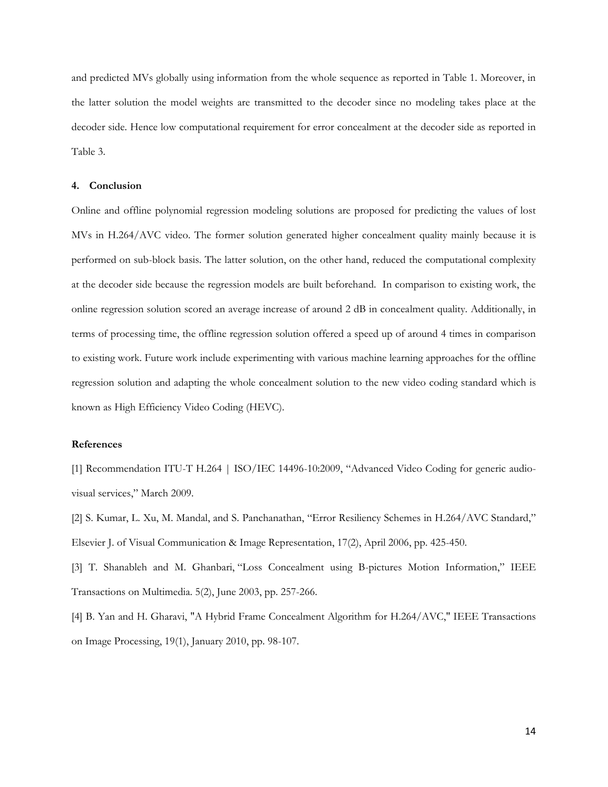and predicted MVs globally using information from the whole sequence as reported in Table 1. Moreover, in the latter solution the model weights are transmitted to the decoder since no modeling takes place at the decoder side. Hence low computational requirement for error concealment at the decoder side as reported in Table 3.

#### **4. Conclusion**

Online and offline polynomial regression modeling solutions are proposed for predicting the values of lost MVs in H.264/AVC video. The former solution generated higher concealment quality mainly because it is performed on sub-block basis. The latter solution, on the other hand, reduced the computational complexity at the decoder side because the regression models are built beforehand. In comparison to existing work, the online regression solution scored an average increase of around 2 dB in concealment quality. Additionally, in terms of processing time, the offline regression solution offered a speed up of around 4 times in comparison to existing work. Future work include experimenting with various machine learning approaches for the offline regression solution and adapting the whole concealment solution to the new video coding standard which is known as High Efficiency Video Coding (HEVC).

# **References**

[1] Recommendation ITU-T H.264 | ISO/IEC 14496-10:2009, "Advanced Video Coding for generic audiovisual services," March 2009.

[2] S. Kumar, L. Xu, M. Mandal, and S. Panchanathan, "Error Resiliency Schemes in H.264/AVC Standard," Elsevier J. of Visual Communication & Image Representation, 17(2), April 2006, pp. 425-450.

[3] T. Shanableh and M. Ghanbari, "Loss Concealment using B-pictures Motion Information," IEEE Transactions on Multimedia. 5(2), June 2003, pp. 257-266.

[4] B. Yan and H. Gharavi, "A Hybrid Frame Concealment Algorithm for H.264/AVC," IEEE Transactions on Image Processing, 19(1), January 2010, pp. 98-107.